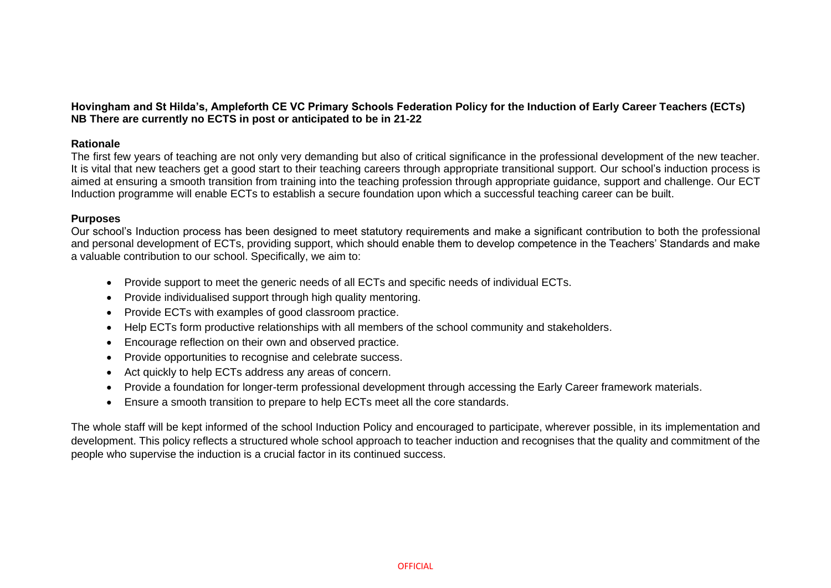**Hovingham and St Hilda's, Ampleforth CE VC Primary Schools Federation Policy for the Induction of Early Career Teachers (ECTs) NB There are currently no ECTS in post or anticipated to be in 21-22**

## **Rationale**

The first few years of teaching are not only very demanding but also of critical significance in the professional development of the new teacher. It is vital that new teachers get a good start to their teaching careers through appropriate transitional support. Our school's induction process is aimed at ensuring a smooth transition from training into the teaching profession through appropriate guidance, support and challenge. Our ECT Induction programme will enable ECTs to establish a secure foundation upon which a successful teaching career can be built.

## **Purposes**

Our school's Induction process has been designed to meet statutory requirements and make a significant contribution to both the professional and personal development of ECTs, providing support, which should enable them to develop competence in the Teachers' Standards and make a valuable contribution to our school. Specifically, we aim to:

- Provide support to meet the generic needs of all ECTs and specific needs of individual ECTs.
- Provide individualised support through high quality mentoring.
- Provide ECTs with examples of good classroom practice.
- Help ECTs form productive relationships with all members of the school community and stakeholders.
- Encourage reflection on their own and observed practice.
- Provide opportunities to recognise and celebrate success.
- Act quickly to help ECTs address any areas of concern.
- Provide a foundation for longer-term professional development through accessing the Early Career framework materials.
- Ensure a smooth transition to prepare to help ECTs meet all the core standards.

The whole staff will be kept informed of the school Induction Policy and encouraged to participate, wherever possible, in its implementation and development. This policy reflects a structured whole school approach to teacher induction and recognises that the quality and commitment of the people who supervise the induction is a crucial factor in its continued success.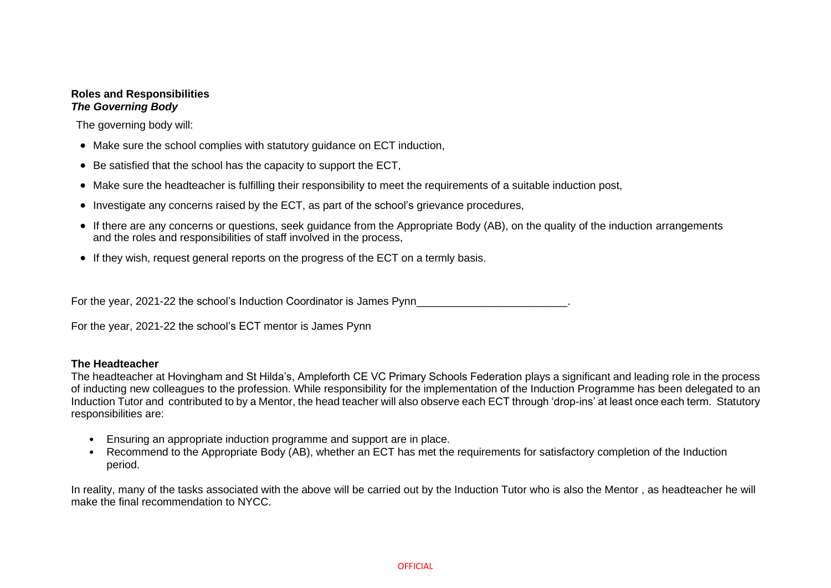# **Roles and Responsibilities**  *The Governing Body*

The governing body will:

- Make sure the school complies with statutory guidance on ECT induction,
- Be satisfied that the school has the capacity to support the ECT,
- Make sure the headteacher is fulfilling their responsibility to meet the requirements of a suitable induction post,
- Investigate any concerns raised by the ECT, as part of the school's grievance procedures,
- If there are any concerns or questions, seek guidance from the Appropriate Body (AB), on the quality of the induction arrangements and the roles and responsibilities of staff involved in the process,
- If they wish, request general reports on the progress of the ECT on a termly basis.

For the year, 2021-22 the school's Induction Coordinator is James Pynn

For the year, 2021-22 the school's ECT mentor is James Pynn

## **The Headteacher**

The headteacher at Hovingham and St Hilda's, Ampleforth CE VC Primary Schools Federation plays a significant and leading role in the process of inducting new colleagues to the profession. While responsibility for the implementation of the Induction Programme has been delegated to an Induction Tutor and contributed to by a Mentor, the head teacher will also observe each ECT through 'drop-ins' at least once each term. Statutory responsibilities are:

- Ensuring an appropriate induction programme and support are in place.
- Recommend to the Appropriate Body (AB), whether an ECT has met the requirements for satisfactory completion of the Induction period.

In reality, many of the tasks associated with the above will be carried out by the Induction Tutor who is also the Mentor , as headteacher he will make the final recommendation to NYCC.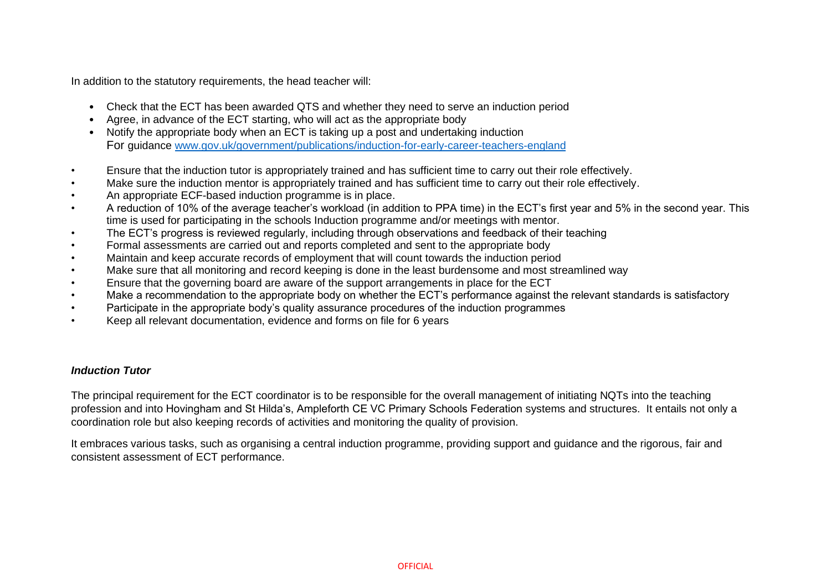In addition to the statutory requirements, the head teacher will:

- Check that the ECT has been awarded QTS and whether they need to serve an induction period
- Agree, in advance of the ECT starting, who will act as the appropriate body
- Notify the appropriate body when an ECT is taking up a post and undertaking induction For guidance [www.gov.uk/government/publications/induction-for-early-career-teachers-england](file:///C:/Users/JamesPynn/AppData/Local/Microsoft/Windows/INetCache/Content.Outlook/8JZBUZO0/guidance%20www.gov.uk/government/publications/induction-for-early-career-teachers-england)
- Ensure that the induction tutor is appropriately trained and has sufficient time to carry out their role effectively.
- Make sure the induction mentor is appropriately trained and has sufficient time to carry out their role effectively.
- An appropriate ECF-based induction programme is in place.
- A reduction of 10% of the average teacher's workload (in addition to PPA time) in the ECT's first year and 5% in the second year. This time is used for participating in the schools Induction programme and/or meetings with mentor.
- The ECT's progress is reviewed regularly, including through observations and feedback of their teaching
- Formal assessments are carried out and reports completed and sent to the appropriate body
- Maintain and keep accurate records of employment that will count towards the induction period
- Make sure that all monitoring and record keeping is done in the least burdensome and most streamlined way
- Ensure that the governing board are aware of the support arrangements in place for the ECT
- Make a recommendation to the appropriate body on whether the ECT's performance against the relevant standards is satisfactory
- Participate in the appropriate body's quality assurance procedures of the induction programmes
- Keep all relevant documentation, evidence and forms on file for 6 years

# *Induction Tutor*

The principal requirement for the ECT coordinator is to be responsible for the overall management of initiating NQTs into the teaching profession and into Hovingham and St Hilda's, Ampleforth CE VC Primary Schools Federation systems and structures. It entails not only a coordination role but also keeping records of activities and monitoring the quality of provision.

It embraces various tasks, such as organising a central induction programme, providing support and guidance and the rigorous, fair and consistent assessment of ECT performance.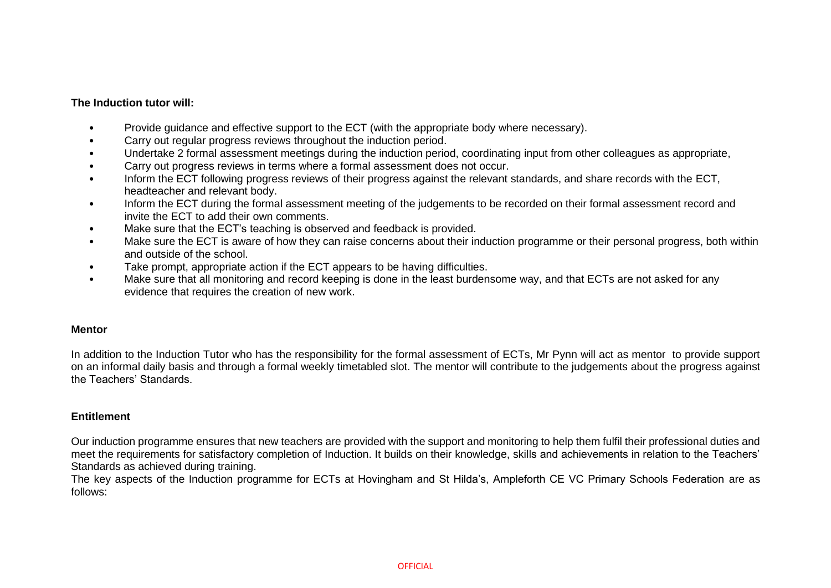## **The Induction tutor will:**

- Provide guidance and effective support to the ECT (with the appropriate body where necessary).
- Carry out regular progress reviews throughout the induction period.
- Undertake 2 formal assessment meetings during the induction period, coordinating input from other colleagues as appropriate,
- Carry out progress reviews in terms where a formal assessment does not occur.
- Inform the ECT following progress reviews of their progress against the relevant standards, and share records with the ECT, headteacher and relevant body.
- Inform the ECT during the formal assessment meeting of the judgements to be recorded on their formal assessment record and invite the ECT to add their own comments.
- Make sure that the ECT's teaching is observed and feedback is provided.
- Make sure the ECT is aware of how they can raise concerns about their induction programme or their personal progress, both within and outside of the school.
- Take prompt, appropriate action if the ECT appears to be having difficulties.
- Make sure that all monitoring and record keeping is done in the least burdensome way, and that ECTs are not asked for any evidence that requires the creation of new work.

## **Mentor**

In addition to the Induction Tutor who has the responsibility for the formal assessment of ECTs, Mr Pynn will act as mentor to provide support on an informal daily basis and through a formal weekly timetabled slot. The mentor will contribute to the judgements about the progress against the Teachers' Standards.

## **Entitlement**

Our induction programme ensures that new teachers are provided with the support and monitoring to help them fulfil their professional duties and meet the requirements for satisfactory completion of Induction. It builds on their knowledge, skills and achievements in relation to the Teachers' Standards as achieved during training.

The key aspects of the Induction programme for ECTs at Hovingham and St Hilda's, Ampleforth CE VC Primary Schools Federation are as follows: